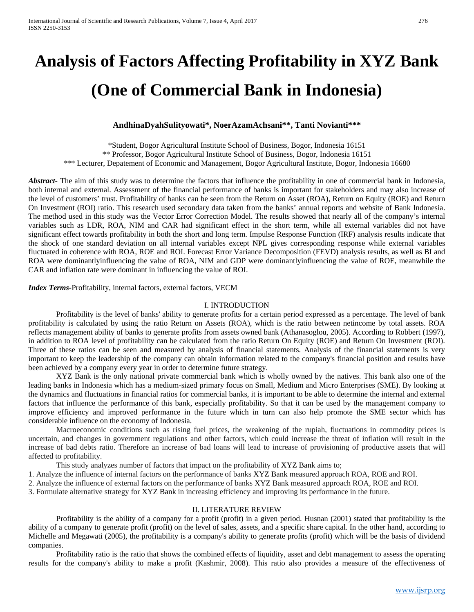# **Analysis of Factors Affecting Profitability in XYZ Bank (One of Commercial Bank in Indonesia)**

**AndhinaDyahSulityowati\*, NoerAzamAchsani\*\*, Tanti Novianti\*\*\***

\*Student, Bogor Agricultural Institute School of Business, Bogor, Indonesia 16151 \*\* Professor, Bogor Agricultural Institute School of Business, Bogor, Indonesia 16151 \*\*\* Lecturer, Depatement of Economic and Management, Bogor Agricultural Institute, Bogor, Indonesia 16680

*Abstract-* The aim of this study was to determine the factors that influence the profitability in one of commercial bank in Indonesia, both internal and external. Assessment of the financial performance of banks is important for stakeholders and may also increase of the level of customers' trust. Profitability of banks can be seen from the Return on Asset (ROA), Return on Equity (ROE) and Return On Investment (ROI) ratio. This research used secondary data taken from the banks' annual reports and website of Bank Indonesia. The method used in this study was the Vector Error Correction Model. The results showed that nearly all of the company's internal variables such as LDR, ROA, NIM and CAR had significant effect in the short term, while all external variables did not have significant effect towards profitability in both the short and long term. Impulse Response Function (IRF) analysis results indicate that the shock of one standard deviation on all internal variables except NPL gives corresponding response while external variables fluctuated in coherence with ROA, ROE and ROI. Forecast Error Variance Decomposition (FEVD) analysis results, as well as BI and ROA were dominantlyinfluencing the value of ROA, NIM and GDP were dominantlyinfluencing the value of ROE, meanwhile the CAR and inflation rate were dominant in influencing the value of ROI.

*Index Terms-*Profitability, internal factors, external factors, VECM

#### I. INTRODUCTION

Profitability is the level of banks' ability to generate profits for a certain period expressed as a percentage. The level of bank profitability is calculated by using the ratio Return on Assets (ROA), which is the ratio between netincome by total assets. ROA reflects management ability of banks to generate profits from assets owned bank (Athanasoglou, 2005). According to Robbert (1997), in addition to ROA level of profitability can be calculated from the ratio Return On Equity (ROE) and Return On Investment (ROI). Three of these ratios can be seen and measured by analysis of financial statements. Analysis of the financial statements is very important to keep the leadership of the company can obtain information related to the company's financial position and results have been achieved by a company every year in order to determine future strategy.

XYZ Bank is the only national private commercial bank which is wholly owned by the natives. This bank also one of the leading banks in Indonesia which has a medium-sized primary focus on Small, Medium and Micro Enterprises (SME). By looking at the dynamics and fluctuations in financial ratios for commercial banks, it is important to be able to determine the internal and external factors that influence the performance of this bank, especially profitability. So that it can be used by the management company to improve efficiency and improved performance in the future which in turn can also help promote the SME sector which has considerable influence on the economy of Indonesia.

Macroeconomic conditions such as rising fuel prices, the weakening of the rupiah, fluctuations in commodity prices is uncertain, and changes in government regulations and other factors, which could increase the threat of inflation will result in the increase of bad debts ratio. Therefore an increase of bad loans will lead to increase of provisioning of productive assets that will affected to profitability.

This study analyzes number of factors that impact on the profitability of XYZ Bank aims to;

1. Analyze the influence of internal factors on the performance of banks XYZ Bank measured approach ROA, ROE and ROI.

2. Analyze the influence of external factors on the performance of banks XYZ Bank measured approach ROA, ROE and ROI.

3. Formulate alternative strategy for XYZ Bank in increasing efficiency and improving its performance in the future.

#### II. LITERATURE REVIEW

Profitability is the ability of a company for a profit (profit) in a given period. Husnan (2001) stated that profitability is the ability of a company to generate profit (profit) on the level of sales, assets, and a specific share capital. In the other hand, according to Michelle and Megawati (2005), the profitability is a company's ability to generate profits (profit) which will be the basis of dividend companies.

Profitability ratio is the ratio that shows the combined effects of liquidity, asset and debt management to assess the operating results for the company's ability to make a profit (Kashmir, 2008). This ratio also provides a measure of the effectiveness of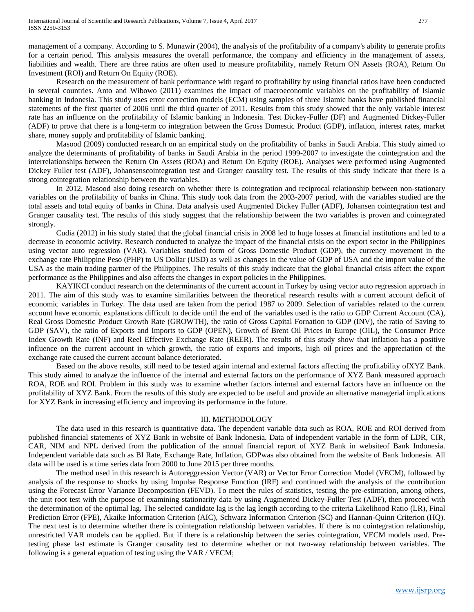management of a company. According to S. Munawir (2004), the analysis of the profitability of a company's ability to generate profits for a certain period. This analysis measures the overall performance, the company and efficiency in the management of assets, liabilities and wealth. There are three ratios are often used to measure profitability, namely Return ON Assets (ROA), Return On Investment (ROI) and Return On Equity (ROE).

Research on the measurement of bank performance with regard to profitability by using financial ratios have been conducted in several countries. Anto and Wibowo (2011) examines the impact of macroeconomic variables on the profitability of Islamic banking in Indonesia. This study uses error correction models (ECM) using samples of three Islamic banks have published financial statements of the first quarter of 2006 until the third quarter of 2011. Results from this study showed that the only variable interest rate has an influence on the profitability of Islamic banking in Indonesia. Test Dickey-Fuller (DF) and Augmented Dickey-Fuller (ADF) to prove that there is a long-term co integration between the Gross Domestic Product (GDP), inflation, interest rates, market share, money supply and profitability of Islamic banking.

Masood (2009) conducted research on an empirical study on the profitability of banks in Saudi Arabia. This study aimed to analyze the determinants of profitability of banks in Saudi Arabia in the period 1999-2007 to investigate the cointegration and the interrelationships between the Return On Assets (ROA) and Return On Equity (ROE). Analyses were performed using Augmented Dickey Fuller test (ADF), Johansenscointegration test and Granger causality test. The results of this study indicate that there is a strong cointegration relationship between the variables.

In 2012, Masood also doing research on whether there is cointegration and reciprocal relationship between non-stationary variables on the profitability of banks in China. This study took data from the 2003-2007 period, with the variables studied are the total assets and total equity of banks in China. Data analysis used Augmented Dickey Fuller (ADF), Johansen cointegration test and Granger causality test. The results of this study suggest that the relationship between the two variables is proven and cointegrated strongly.

Cudia (2012) in his study stated that the global financial crisis in 2008 led to huge losses at financial institutions and led to a decrease in economic activity. Research conducted to analyze the impact of the financial crisis on the export sector in the Philippines using vector auto regression (VAR). Variables studied form of Gross Domestic Product (GDP), the currency movement in the exchange rate Philippine Peso (PHP) to US Dollar (USD) as well as changes in the value of GDP of USA and the import value of the USA as the main trading partner of the Philippines. The results of this study indicate that the global financial crisis affect the export performance as the Philippines and also affects the changes in export policies in the Philippines.

KAYIKCI conduct research on the determinants of the current account in Turkey by using vector auto regression approach in 2011. The aim of this study was to examine similarities between the theoretical research results with a current account deficit of economic variables in Turkey. The data used are taken from the period 1987 to 2009. Selection of variables related to the current account have economic explanations difficult to decide until the end of the variables used is the ratio to GDP Current Account (CA), Real Gross Domestic Product Growth Rate (GROWTH), the ratio of Gross Capital Fornation to GDP (INV), the ratio of Saving to GDP (SAV), the ratio of Exports and Imports to GDP (OPEN), Growth of Brent Oil Prices in Europe (OIL), the Consumer Price Index Growth Rate (INF) and Reel Effective Exchange Rate (REER). The results of this study show that inflation has a positive influence on the current account in which growth, the ratio of exports and imports, high oil prices and the appreciation of the exchange rate caused the current account balance deteriorated.

Based on the above results, still need to be tested again internal and external factors affecting the profitability ofXYZ Bank. This study aimed to analyze the influence of the internal and external factors on the performance of XYZ Bank measured approach ROA, ROE and ROI. Problem in this study was to examine whether factors internal and external factors have an influence on the profitability of XYZ Bank. From the results of this study are expected to be useful and provide an alternative managerial implications for XYZ Bank in increasing efficiency and improving its performance in the future.

#### III. METHODOLOGY

The data used in this research is quantitative data. The dependent variable data such as ROA, ROE and ROI derived from published financial statements of XYZ Bank in website of Bank Indonesia. Data of independent variable in the form of LDR, CIR, CAR, NIM and NPL derived from the publication of the annual financial report of XYZ Bank in websiteof Bank Indonesia. Independent variable data such as BI Rate, Exchange Rate, Inflation, GDPwas also obtained from the website of Bank Indonesia. All data will be used is a time series data from 2000 to June 2015 per three months.

The method used in this research is Autoreggression Vector (VAR) or Vector Error Correction Model (VECM), followed by analysis of the response to shocks by using Impulse Response Function (IRF) and continued with the analysis of the contribution using the Forecast Error Variance Decomposition (FEVD). To meet the rules of statistics, testing the pre-estimation, among others, the unit root test with the purpose of examining stationarity data by using Augmented Dickey-Fuller Test (ADF), then proceed with the determination of the optimal lag. The selected candidate lag is the lag length according to the criteria Likelihood Ratio (LR), Final Prediction Error (FPE), Akaike Information Criterion (AIC), Schwarz Information Criterion (SC) and Hannan-Quinn Criterion (HQ). The next test is to determine whether there is cointegration relationship between variables. If there is no cointegration relationship, unrestricted VAR models can be applied. But if there is a relationship between the series cointegration, VECM models used. Pretesting phase last estimate is Granger causality test to determine whether or not two-way relationship between variables. The following is a general equation of testing using the VAR / VECM;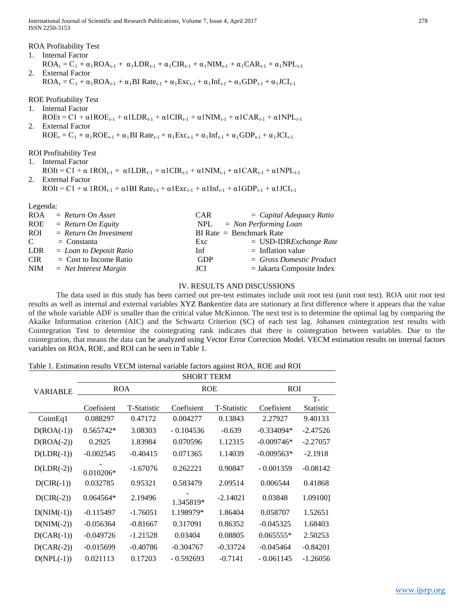International Journal of Scientific and Research Publications, Volume 7, Issue 4, April 2017 278 ISSN 2250-3153

ROA Profitability Test

- 1. Internal Factor
- $ROA_t = C_1 + \alpha_1 ROA_{t-1} + \alpha_1 LDR_{t-1} + \alpha_1 CIR_{t-1} + \alpha_1 NIM_{t-1} + \alpha_1 CAR_{t-1} + \alpha_1 NPL_{t-1}$ 2. External Factor
	- $ROA_t = C_1 + \alpha_1 ROA_{t-1} + \alpha_1 BI Rate_{t-1} + \alpha_1 Exc_{t-1} + \alpha_1 Inf_{t-1} + \alpha_1 GDP_{t-1} + \alpha_1 JCI_{t-1}$

#### ROE Profitability Test

- 1. Internal Factor
- $ROEt = C1 + \alpha 1ROE_{t-1} + \alpha 1LDR_{t-1} + \alpha 1CIR_{t-1} + \alpha 1NIM_{t-1} + \alpha 1CAR_{t-1} + \alpha 1NPL_{t-1}$ 2. External Factor
- $ROE_t = C_1 + \alpha_1 ROE_{t-1} + \alpha_1 BI Rate_{t-1} + \alpha_1 Exc_{t-1} + \alpha_1 Inf_{t-1} + \alpha_1 GDP_{t-1} + \alpha_1 JCI_{t-1}$

# ROI Profitability Test

1. Internal Factor

 $ROIt = C1 + \alpha 1ROI_{t-1} + \alpha 1LDR_{t-1} + \alpha 1CIR_{t-1} + \alpha 1NIM_{t-1} + \alpha 1CAR_{t-1} + \alpha 1NPL_{t-1}$ 2. External Factor

ROIt = C1 +  $\alpha$  1ROI<sub>t-1</sub> +  $\alpha$ 1BI Rate<sub>t-1</sub> +  $\alpha$ 1Exc<sub>t-1</sub> +  $\alpha$ 1Inf<sub>t-1</sub> +  $\alpha$ 1GDP<sub>t-1</sub> +  $\alpha$ 1JCI<sub>t-1</sub>

#### Legenda:

| <b>ROA</b> | $=$ Return On Asset       | CAR                               | $=$ Capital Adequacy Ratio  |
|------------|---------------------------|-----------------------------------|-----------------------------|
| <b>ROE</b> | $=$ Return On Equity      | NPL.                              | $=$ Non Performing Loan     |
| ROI        | $=$ Return On Investment  | $BI Rate = \text{Benchmark Rate}$ |                             |
| C          | $=$ Constanta             | Exc                               | $=$ USD-IDRExchange Rate    |
| <b>LDR</b> | $=$ Loan to Deposit Ratio | Inf                               | $=$ Inflation value         |
| <b>CIR</b> | $=$ Cost to Income Ratio  | GDP                               | $=$ Gross Domestic Product  |
| <b>NIM</b> | $=$ Net Interest Margin   | JCI                               | $=$ Jakarta Composite Index |
|            |                           |                                   |                             |

# IV. RESULTS AND DISCUSSIONS

The data used in this study has been carried out pre-test estimates include unit root test (unit root test). ROA unit root test results as well as internal and external variables XYZ Bankentire data are stationary at first difference where it appears that the value of the whole variable ADF is smaller than the critical value McKinnon. The next test is to determine the optimal lag by comparing the Akaike Information criterion (AIC) and the Schwartz Criterion (SC) of each test lag. Johansen cointegration test results with Cointegration Test to determine the cointegrating rank indicates that there is cointegration between variables. Due to the cointegration, that means the data can be analyzed using Vector Error Correction Model. VECM estimation results on internal factors variables on ROA, ROE, and ROI can be seen in Table 1.

Table 1. Estimation results VECM internal variable factors against ROA, ROE and ROI

|                 | <b>SHORT TERM</b> |             |             |             |              |                  |  |
|-----------------|-------------------|-------------|-------------|-------------|--------------|------------------|--|
| <b>VARIABLE</b> | <b>ROA</b>        |             | <b>ROE</b>  |             | <b>ROI</b>   |                  |  |
|                 |                   |             |             |             | <b>T-</b>    |                  |  |
|                 | Coefisient        | T-Statistic | Coefisient  | T-Statistic | Coefisient   | <b>Statistic</b> |  |
| CointEq1        | 0.088297          | 0.47172     | 0.004277    | 0.13843     | 2.27927      | 9.40133          |  |
| $D(ROA(-1))$    | $0.565742*$       | 3.08303     | $-0.104536$ | $-0.639$    | $-0.334094*$ | $-2.47526$       |  |
| $D(ROA(-2))$    | 0.2925            | 1.83984     | 0.070596    | 1.12315     | $-0.009746*$ | $-2.27057$       |  |
| $D(LDR(-1))$    | $-0.002545$       | $-0.40415$  | 0.071365    | 1.14039     | $-0.009563*$ | $-2.1918$        |  |
| $D(LDR(-2))$    | $0.010206*$       | $-1.67076$  | 0.262221    | 0.90847     | $-0.001359$  | $-0.08142$       |  |
| $D(CIR(-1))$    | 0.032785          | 0.95321     | 0.583479    | 2.09514     | 0.006544     | 0.41868          |  |
| $D(CIR(-2))$    | $0.064564*$       | 2.19496     | 1.345819*   | $-2.14021$  | 0.03848      | 1.09100]         |  |
| $D(NIM(-1))$    | $-0.115497$       | $-1.76051$  | 1.198979*   | 1.86404     | 0.058707     | 1.52651          |  |
| $D(NIM(-2))$    | $-0.056364$       | $-0.81667$  | 0.317091    | 0.86352     | $-0.045325$  | 1.68403          |  |
| $D(CAR(-1))$    | $-0.049726$       | $-1.21528$  | 0.03404     | 0.08805     | $0.065555*$  | 2.50253          |  |
| $D(CAR(-2))$    | $-0.015699$       | $-0.40786$  | $-0.304767$ | $-0.33724$  | $-0.045464$  | $-0.84201$       |  |
| $D(NPL(-1))$    | 0.021113          | 0.17203     | $-0.592693$ | $-0.7141$   | $-0.061145$  | $-1.26056$       |  |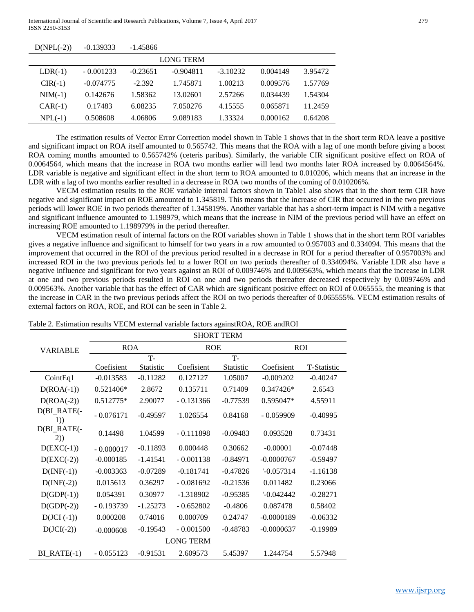| $D(NPL(-2))$     | $-0.139333$ | $-1.45866$ |             |            |          |         |  |  |  |
|------------------|-------------|------------|-------------|------------|----------|---------|--|--|--|
| <b>LONG TERM</b> |             |            |             |            |          |         |  |  |  |
| $LDR(-1)$        | $-0.001233$ | $-0.23651$ | $-0.904811$ | $-3.10232$ | 0.004149 | 3.95472 |  |  |  |
| $CIR(-1)$        | $-0.074775$ | $-2.392$   | 1.745871    | 1.00213    | 0.009576 | 1.57769 |  |  |  |
| $NIM(-1)$        | 0.142676    | 1.58362    | 13.02601    | 2.57266    | 0.034439 | 1.54304 |  |  |  |
| $CAR(-1)$        | 0.17483     | 6.08235    | 7.050276    | 4.15555    | 0.065871 | 11.2459 |  |  |  |
| $NPL(-1)$        | 0.508608    | 4.06806    | 9.089183    | 1.33324    | 0.000162 | 0.64208 |  |  |  |

The estimation results of Vector Error Correction model shown in Table 1 shows that in the short term ROA leave a positive and significant impact on ROA itself amounted to 0.565742. This means that the ROA with a lag of one month before giving a boost ROA coming months amounted to 0.565742% (ceteris paribus). Similarly, the variable CIR significant positive effect on ROA of 0.0064564, which means that the increase in ROA two months earlier will lead two months later ROA increased by 0.0064564%. LDR variable is negative and significant effect in the short term to ROA amounted to 0.010206, which means that an increase in the LDR with a lag of two months earlier resulted in a decrease in ROA two months of the coming of 0.010206%.

VECM estimation results to the ROE variable internal factors shown in Table1 also shows that in the short term CIR have negative and significant impact on ROE amounted to 1.345819. This means that the increase of CIR that occurred in the two previous periods will lower ROE in two periods thereafter of 1.345819%. Another variable that has a short-term impact is NIM with a negative and significant influence amounted to 1.198979, which means that the increase in NIM of the previous period will have an effect on increasing ROE amounted to 1.198979% in the period thereafter.

VECM estimation result of internal factors on the ROI variables shown in Table 1 shows that in the short term ROI variables gives a negative influence and significant to himself for two years in a row amounted to 0.957003 and 0.334094. This means that the improvement that occurred in the ROI of the previous period resulted in a decrease in ROI for a period thereafter of 0.957003% and increased ROI in the two previous periods led to a lower ROI on two periods thereafter of 0.334094%. Variable LDR also have a negative influence and significant for two years against an ROI of 0.009746% and 0.009563%, which means that the increase in LDR at one and two previous periods resulted in ROI on one and two periods thereafter decreased respectively by 0.009746% and 0.009563%. Another variable that has the effect of CAR which are significant positive effect on ROI of 0.065555, the meaning is that the increase in CAR in the two previous periods affect the ROI on two periods thereafter of 0.065555%. VECM estimation results of external factors on ROA, ROE, and ROI can be seen in Table 2.

|                    | <b>SHORT TERM</b> |                  |             |                  |              |                    |  |  |
|--------------------|-------------------|------------------|-------------|------------------|--------------|--------------------|--|--|
| <b>VARIABLE</b>    | <b>ROA</b>        |                  | <b>ROE</b>  |                  |              | <b>ROI</b>         |  |  |
|                    |                   | $T -$            |             | $T -$            |              |                    |  |  |
|                    | Coefisient        | <b>Statistic</b> | Coefisient  | <b>Statistic</b> | Coefisient   | <b>T-Statistic</b> |  |  |
| CointEq1           | $-0.013583$       | $-0.11282$       | 0.127127    | 1.05007          | $-0.009202$  | $-0.40247$         |  |  |
| $D(ROA(-1))$       | 0.521406*         | 2.8672           | 0.135711    | 0.71409          | $0.347426*$  | 2.6543             |  |  |
| $D(ROA(-2))$       | 0.512775*         | 2.90077          | $-0.131366$ | $-0.77539$       | $0.595047*$  | 4.55911            |  |  |
| $D(BI_RATE)$<br>1) | $-0.076171$       | $-0.49597$       | 1.026554    | 0.84168          | $-0.059909$  | $-0.40995$         |  |  |
| D(BI_RATE(-<br>2)) | 0.14498           | 1.04599          | $-0.111898$ | $-0.09483$       | 0.093528     | 0.73431            |  |  |
| $D(EXC(-1))$       | $-0.000017$       | $-0.11893$       | 0.000448    | 0.30662          | $-0.00001$   | $-0.07448$         |  |  |
| $D(EXC(-2))$       | $-0.000185$       | $-1.41541$       | $-0.001138$ | $-0.84971$       | $-0.0000767$ | $-0.59497$         |  |  |
| $D(INF(-1))$       | $-0.003363$       | $-0.07289$       | $-0.181741$ | $-0.47826$       | $-0.057314$  | $-1.16138$         |  |  |
| $D(INF(-2))$       | 0.015613          | 0.36297          | $-0.081692$ | $-0.21536$       | 0.011482     | 0.23066            |  |  |
| $D(GDP(-1))$       | 0.054391          | 0.30977          | $-1.318902$ | $-0.95385$       | $-0.042442$  | $-0.28271$         |  |  |
| $D(GDP(-2))$       | $-0.193739$       | $-1.25273$       | $-0.652802$ | $-0.4806$        | 0.087478     | 0.58402            |  |  |
| $D(JCI(-1))$       | 0.000208          | 0.74016          | 0.000709    | 0.24747          | $-0.0000189$ | $-0.06332$         |  |  |
| $D(JCI(-2))$       | $-0.000608$       | $-0.19543$       | $-0.001500$ | $-0.48783$       | $-0.0000637$ | $-0.19989$         |  |  |
|                    | <b>LONG TERM</b>  |                  |             |                  |              |                    |  |  |
| $BI_RATE(-1)$      | $-0.055123$       | $-0.91531$       | 2.609573    | 5.45397          | 1.244754     | 5.57948            |  |  |

Table 2. Estimation results VECM external variable factors againstROA, ROE andROI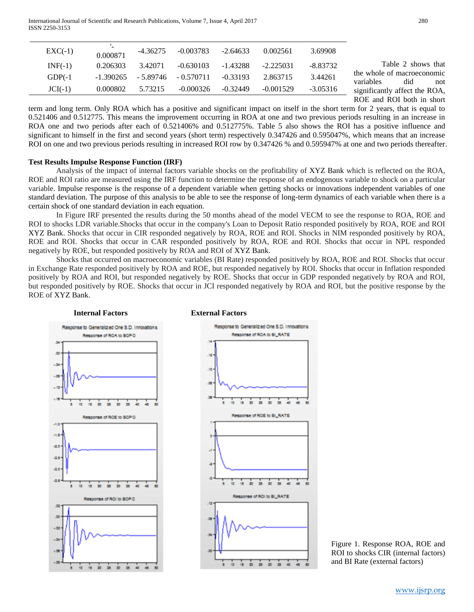|                                                       | 3.69908    | 0.002561    | $-2.64633$ | $-0.003783$ | -4.36275  | $\overline{\phantom{a}}$<br>0.000871 | $EXC(-1)$ |
|-------------------------------------------------------|------------|-------------|------------|-------------|-----------|--------------------------------------|-----------|
| Table 2 shows that                                    | $-8.83732$ | $-2.225031$ | -1.43288   | $-0.630103$ | 3.42071   | 0.206303                             | $INF(-1)$ |
| the whole of macroeconomic<br>variables<br>did<br>not | 3.44261    | 2.863715    | $-0.33193$ | $-0.570711$ | - 5.89746 | -1.390265                            | $GDP(-1)$ |
| significantly affect the ROA,                         | $-3.05316$ | $-0.001529$ | $-0.32449$ | $-0.000326$ | 5.73215   | 0.000802                             | $JCI(-1)$ |
| ROE and ROI both in short                             |            |             |            |             |           |                                      |           |

term and long term. Only ROA which has a positive and significant impact on itself in the short term for 2 years, that is equal to 0.521406 and 0.512775. This means the improvement occurring in ROA at one and two previous periods resulting in an increase in ROA one and two periods after each of 0.521406% and 0.512775%. Table 5 also shows the ROI has a positive influence and significant to himself in the first and second years (short term) respectively 0.347426 and 0.595047%, which means that an increase ROI on one and two previous periods resulting in increased ROI row by 0.347426 % and 0.595947% at one and two periods thereafter.

### **Test Results Impulse Response Function (IRF)**

Ē,

Analysis of the impact of internal factors variable shocks on the profitability of XYZ Bank which is reflected on the ROA, ROE and ROI ratio are measured using the IRF function to determine the response of an endogenous variable to shock on a particular variable. Impulse response is the response of a dependent variable when getting shocks or innovations independent variables of one standard deviation. The purpose of this analysis to be able to see the response of long-term dynamics of each variable when there is a certain shock of one standard deviation in each equation.

In Figure IRF presented the results during the 50 months ahead of the model VECM to see the response to ROA, ROE and ROI to shocks LDR variable.Shocks that occur in the company's Loan to Deposit Ratio responded positively by ROA, ROE and ROI XYZ Bank. Shocks that occur in CIR responded negatively by ROA, ROE and ROI. Shocks in NIM responded positively by ROA, ROE and ROI. Shocks that occur in CAR responded positively by ROA, ROE and ROI. Shocks that occur in NPL responded negatively by ROE, but responded positively by ROA and ROI of XYZ Bank.

Shocks that occurred on macroeconomic variables (BI Rate) responded positively by ROA, ROE and ROI. Shocks that occur in Exchange Rate responded positively by ROA and ROE, but responded negatively by ROI. Shocks that occur in Inflation responded positively by ROA and ROI, but responded negatively by ROE. Shocks that occur in GDP responded negatively by ROA and ROI, but responded positively by ROE. Shocks that occur in JCI responded negatively by ROA and ROI, but the positive response by the ROE of XYZ Bank.

#### **Internal Factors External Factors**





Figure 1. Response ROA, ROE and ROI to shocks CIR (internal factors) and BI Rate (external factors)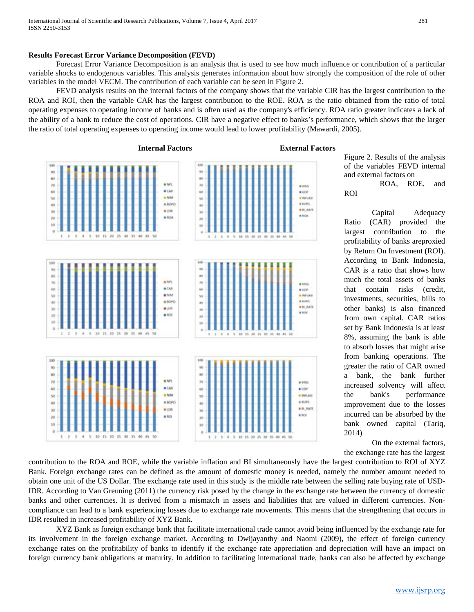#### **Results Forecast Error Variance Decomposition (FEVD)**

Forecast Error Variance Decomposition is an analysis that is used to see how much influence or contribution of a particular variable shocks to endogenous variables. This analysis generates information about how strongly the composition of the role of other variables in the model VECM. The contribution of each variable can be seen in Figure 2.

FEVD analysis results on the internal factors of the company shows that the variable CIR has the largest contribution to the ROA and ROI, then the variable CAR has the largest contribution to the ROE. ROA is the ratio obtained from the ratio of total operating expenses to operating income of banks and is often used as the company's efficiency. ROA ratio greater indicates a lack of the ability of a bank to reduce the cost of operations. CIR have a negative effect to banks's performance, which shows that the larger the ratio of total operating expenses to operating income would lead to lower profitability (Mawardi, 2005).



Figure 2. Results of the analysis of the variables FEVD internal and external factors on

 ROA, ROE, and ROI

Capital Adequacy Ratio (CAR) provided the largest contribution to the profitability of banks areproxied by Return On Investment (ROI). According to Bank Indonesia, CAR is a ratio that shows how much the total assets of banks that contain risks (credit, investments, securities, bills to other banks) is also financed from own capital. CAR ratios set by Bank Indonesia is at least 8%, assuming the bank is able to absorb losses that might arise from banking operations. The greater the ratio of CAR owned a bank, the bank further increased solvency will affect the bank's performance improvement due to the losses incurred can be absorbed by the bank owned capital (Tariq, 2014)

On the external factors, the exchange rate has the largest

contribution to the ROA and ROE, while the variable inflation and BI simultaneously have the largest contribution to ROI of XYZ Bank. Foreign exchange rates can be defined as the amount of domestic money is needed, namely the number amount needed to obtain one unit of the US Dollar. The exchange rate used in this study is the middle rate between the selling rate buying rate of USD-IDR. According to Van Greuning (2011) the currency risk posed by the change in the exchange rate between the currency of domestic banks and other currencies. It is derived from a mismatch in assets and liabilities that are valued in different currencies. Noncompliance can lead to a bank experiencing losses due to exchange rate movements. This means that the strengthening that occurs in IDR resulted in increased profitability of XYZ Bank.

XYZ Bank as foreign exchange bank that facilitate international trade cannot avoid being influenced by the exchange rate for its involvement in the foreign exchange market. According to Dwijayanthy and Naomi (2009), the effect of foreign currency exchange rates on the profitability of banks to identify if the exchange rate appreciation and depreciation will have an impact on foreign currency bank obligations at maturity. In addition to facilitating international trade, banks can also be affected by exchange